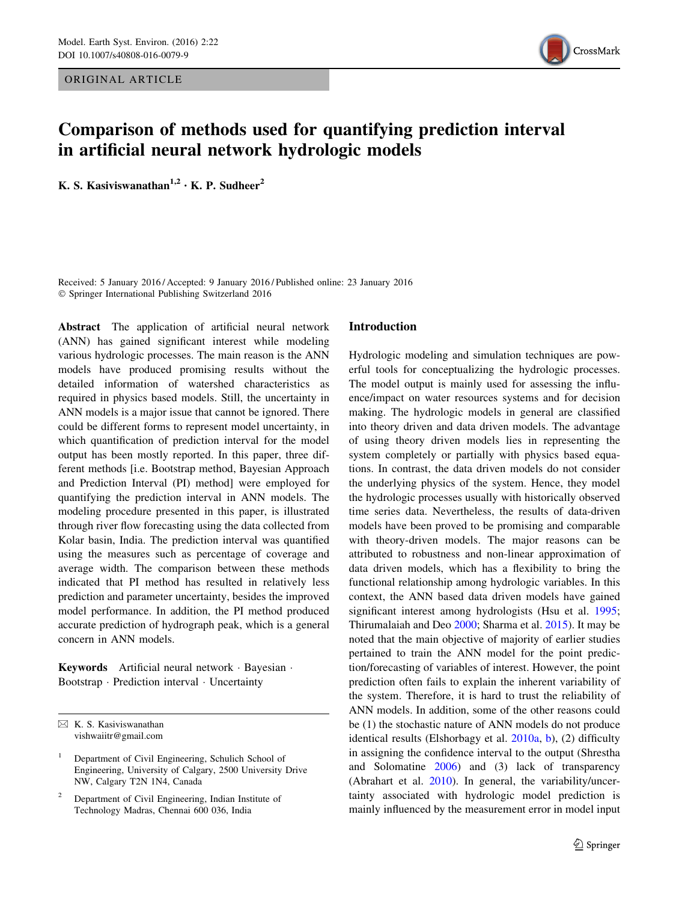ORIGINAL ARTICLE



# Comparison of methods used for quantifying prediction interval in artificial neural network hydrologic models

K. S. Kasiviswanathan<sup>1,2</sup> · K. P. Sudheer<sup>2</sup>

Received: 5 January 2016 / Accepted: 9 January 2016 / Published online: 23 January 2016  $©$  Springer International Publishing Switzerland 2016

Abstract The application of artificial neural network (ANN) has gained significant interest while modeling various hydrologic processes. The main reason is the ANN models have produced promising results without the detailed information of watershed characteristics as required in physics based models. Still, the uncertainty in ANN models is a major issue that cannot be ignored. There could be different forms to represent model uncertainty, in which quantification of prediction interval for the model output has been mostly reported. In this paper, three different methods [i.e. Bootstrap method, Bayesian Approach and Prediction Interval (PI) method] were employed for quantifying the prediction interval in ANN models. The modeling procedure presented in this paper, is illustrated through river flow forecasting using the data collected from Kolar basin, India. The prediction interval was quantified using the measures such as percentage of coverage and average width. The comparison between these methods indicated that PI method has resulted in relatively less prediction and parameter uncertainty, besides the improved model performance. In addition, the PI method produced accurate prediction of hydrograph peak, which is a general concern in ANN models.

Keywords Artificial neural network - Bayesian - Bootstrap - Prediction interval - Uncertainty

## Introduction

Hydrologic modeling and simulation techniques are powerful tools for conceptualizing the hydrologic processes. The model output is mainly used for assessing the influence/impact on water resources systems and for decision making. The hydrologic models in general are classified into theory driven and data driven models. The advantage of using theory driven models lies in representing the system completely or partially with physics based equations. In contrast, the data driven models do not consider the underlying physics of the system. Hence, they model the hydrologic processes usually with historically observed time series data. Nevertheless, the results of data-driven models have been proved to be promising and comparable with theory-driven models. The major reasons can be attributed to robustness and non-linear approximation of data driven models, which has a flexibility to bring the functional relationship among hydrologic variables. In this context, the ANN based data driven models have gained significant interest among hydrologists (Hsu et al. [1995](#page-10-0); Thirumalaiah and Deo [2000](#page-10-0); Sharma et al. [2015](#page-10-0)). It may be noted that the main objective of majority of earlier studies pertained to train the ANN model for the point prediction/forecasting of variables of interest. However, the point prediction often fails to explain the inherent variability of the system. Therefore, it is hard to trust the reliability of ANN models. In addition, some of the other reasons could be (1) the stochastic nature of ANN models do not produce identical results (Elshorbagy et al. [2010a](#page-9-0), [b\)](#page-10-0), (2) difficulty in assigning the confidence interval to the output (Shrestha and Solomatine [2006](#page-10-0)) and (3) lack of transparency (Abrahart et al. [2010\)](#page-9-0). In general, the variability/uncertainty associated with hydrologic model prediction is mainly influenced by the measurement error in model input

 $\boxtimes$  K. S. Kasiviswanathan vishwaiitr@gmail.com

<sup>1</sup> Department of Civil Engineering, Schulich School of Engineering, University of Calgary, 2500 University Drive NW, Calgary T2N 1N4, Canada

<sup>2</sup> Department of Civil Engineering, Indian Institute of Technology Madras, Chennai 600 036, India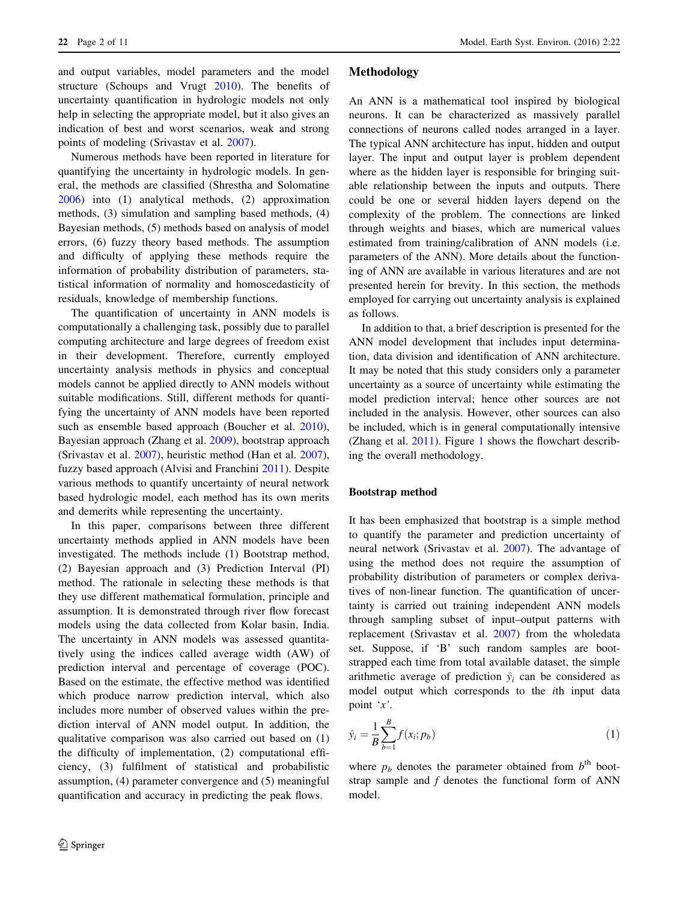and output variables, model parameters and the model structure (Schoups and Vrugt [2010](#page-10-0)). The benefits of uncertainty quantification in hydrologic models not only help in selecting the appropriate model, but it also gives an indication of best and worst scenarios, weak and strong points of modeling (Srivastav et al. [2007](#page-10-0)).

Numerous methods have been reported in literature for quantifying the uncertainty in hydrologic models. In general, the methods are classified (Shrestha and Solomatine [2006\)](#page-10-0) into (1) analytical methods, (2) approximation methods, (3) simulation and sampling based methods, (4) Bayesian methods, (5) methods based on analysis of model errors, (6) fuzzy theory based methods. The assumption and difficulty of applying these methods require the information of probability distribution of parameters, statistical information of normality and homoscedasticity of residuals, knowledge of membership functions.

The quantification of uncertainty in ANN models is computationally a challenging task, possibly due to parallel computing architecture and large degrees of freedom exist in their development. Therefore, currently employed uncertainty analysis methods in physics and conceptual models cannot be applied directly to ANN models without suitable modifications. Still, different methods for quantifying the uncertainty of ANN models have been reported such as ensemble based approach (Boucher et al. [2010](#page-9-0)), Bayesian approach (Zhang et al. [2009\)](#page-10-0), bootstrap approach (Srivastav et al. [2007\)](#page-10-0), heuristic method (Han et al. [2007](#page-10-0)), fuzzy based approach (Alvisi and Franchini [2011\)](#page-9-0). Despite various methods to quantify uncertainty of neural network based hydrologic model, each method has its own merits and demerits while representing the uncertainty.

In this paper, comparisons between three different uncertainty methods applied in ANN models have been investigated. The methods include (1) Bootstrap method, (2) Bayesian approach and (3) Prediction Interval (PI) method. The rationale in selecting these methods is that they use different mathematical formulation, principle and assumption. It is demonstrated through river flow forecast models using the data collected from Kolar basin, India. The uncertainty in ANN models was assessed quantitatively using the indices called average width (AW) of prediction interval and percentage of coverage (POC). Based on the estimate, the effective method was identified which produce narrow prediction interval, which also includes more number of observed values within the prediction interval of ANN model output. In addition, the qualitative comparison was also carried out based on (1) the difficulty of implementation, (2) computational efficiency, (3) fulfilment of statistical and probabilistic assumption, (4) parameter convergence and (5) meaningful quantification and accuracy in predicting the peak flows.

## Methodology

An ANN is a mathematical tool inspired by biological neurons. It can be characterized as massively parallel connections of neurons called nodes arranged in a layer. The typical ANN architecture has input, hidden and output layer. The input and output layer is problem dependent where as the hidden layer is responsible for bringing suitable relationship between the inputs and outputs. There could be one or several hidden layers depend on the complexity of the problem. The connections are linked through weights and biases, which are numerical values estimated from training/calibration of ANN models (i.e. parameters of the ANN). More details about the functioning of ANN are available in various literatures and are not presented herein for brevity. In this section, the methods employed for carrying out uncertainty analysis is explained as follows.

In addition to that, a brief description is presented for the ANN model development that includes input determination, data division and identification of ANN architecture. It may be noted that this study considers only a parameter uncertainty as a source of uncertainty while estimating the model prediction interval; hence other sources are not included in the analysis. However, other sources can also be included, which is in general computationally intensive (Zhang et al. [2011](#page-10-0)). Figure [1](#page-2-0) shows the flowchart describing the overall methodology.

#### Bootstrap method

It has been emphasized that bootstrap is a simple method to quantify the parameter and prediction uncertainty of neural network (Srivastav et al. [2007\)](#page-10-0). The advantage of using the method does not require the assumption of probability distribution of parameters or complex derivatives of non-linear function. The quantification of uncertainty is carried out training independent ANN models through sampling subset of input–output patterns with replacement (Srivastav et al. [2007\)](#page-10-0) from the wholedata set. Suppose, if 'B' such random samples are bootstrapped each time from total available dataset, the simple arithmetic average of prediction  $\hat{y}_i$  can be considered as model output which corresponds to the ith input data point 'x'.

$$
\hat{y}_i = \frac{1}{B} \sum_{b=1}^{B} f(x_i; p_b)
$$
\n(1)

where  $p_b$  denotes the parameter obtained from  $b<sup>th</sup>$  bootstrap sample and  $f$  denotes the functional form of ANN model.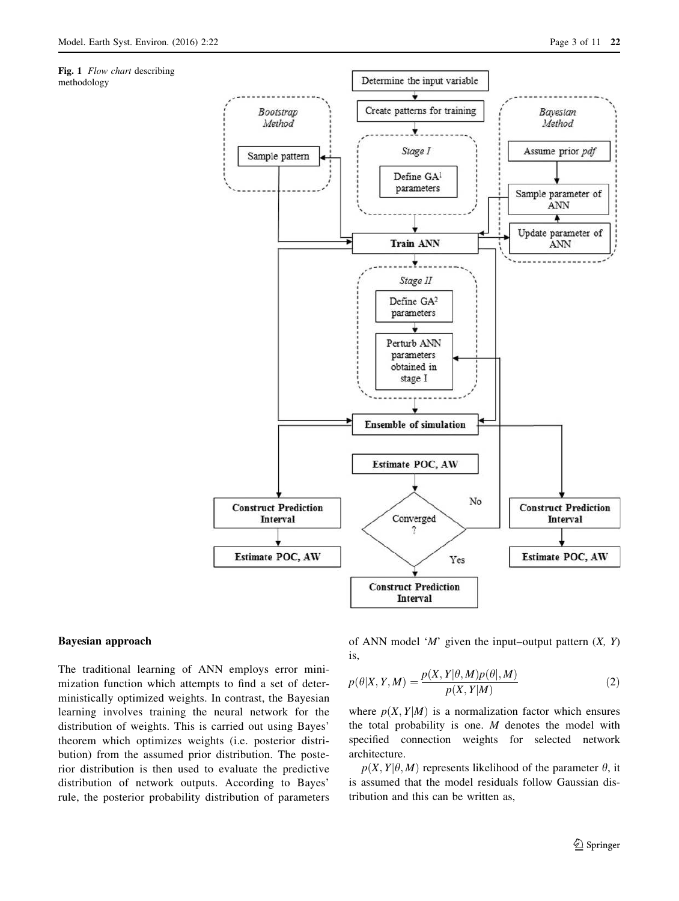<span id="page-2-0"></span>

#### Bayesian approach

The traditional learning of ANN employs error minimization function which attempts to find a set of deterministically optimized weights. In contrast, the Bayesian learning involves training the neural network for the distribution of weights. This is carried out using Bayes' theorem which optimizes weights (i.e. posterior distribution) from the assumed prior distribution. The posterior distribution is then used to evaluate the predictive distribution of network outputs. According to Bayes' rule, the posterior probability distribution of parameters of ANN model 'M' given the input–output pattern  $(X, Y)$ is,

$$
p(\theta|X, Y, M) = \frac{p(X, Y|\theta, M)p(\theta|, M)}{p(X, Y|M)}
$$
\n(2)

where  $p(X, Y|M)$  is a normalization factor which ensures the total probability is one.  $M$  denotes the model with specified connection weights for selected network architecture.

 $p(X, Y | \theta, M)$  represents likelihood of the parameter  $\theta$ , it is assumed that the model residuals follow Gaussian distribution and this can be written as,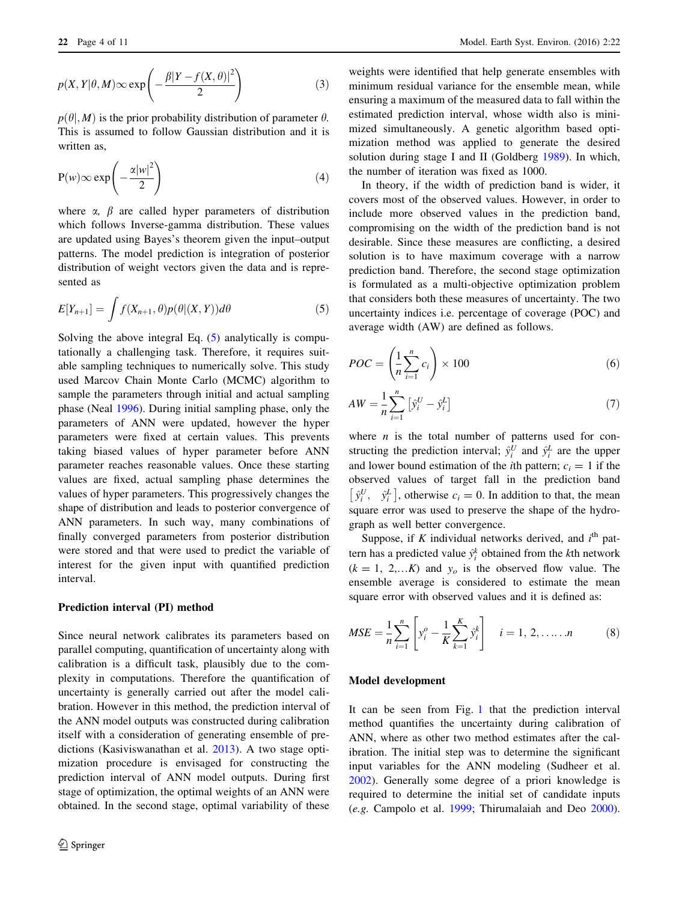$$
p(X, Y | \theta, M) \infty \exp\left(-\frac{\beta |Y - f(X, \theta)|^2}{2}\right) \tag{3}
$$

 $p(\theta, M)$  is the prior probability distribution of parameter  $\theta$ . This is assumed to follow Gaussian distribution and it is written as.

$$
P(w) \infty \exp\left(-\frac{\alpha |w|^2}{2}\right) \tag{4}
$$

where  $\alpha$ ,  $\beta$  are called hyper parameters of distribution which follows Inverse-gamma distribution. These values are updated using Bayes's theorem given the input–output patterns. The model prediction is integration of posterior distribution of weight vectors given the data and is represented as

$$
E[Y_{n+1}] = \int f(X_{n+1}, \theta) p(\theta | (X, Y)) d\theta \tag{5}
$$

Solving the above integral Eq. (5) analytically is computationally a challenging task. Therefore, it requires suitable sampling techniques to numerically solve. This study used Marcov Chain Monte Carlo (MCMC) algorithm to sample the parameters through initial and actual sampling phase (Neal [1996\)](#page-10-0). During initial sampling phase, only the parameters of ANN were updated, however the hyper parameters were fixed at certain values. This prevents taking biased values of hyper parameter before ANN parameter reaches reasonable values. Once these starting values are fixed, actual sampling phase determines the values of hyper parameters. This progressively changes the shape of distribution and leads to posterior convergence of ANN parameters. In such way, many combinations of finally converged parameters from posterior distribution were stored and that were used to predict the variable of interest for the given input with quantified prediction interval.

#### Prediction interval (PI) method

Since neural network calibrates its parameters based on parallel computing, quantification of uncertainty along with calibration is a difficult task, plausibly due to the complexity in computations. Therefore the quantification of uncertainty is generally carried out after the model calibration. However in this method, the prediction interval of the ANN model outputs was constructed during calibration itself with a consideration of generating ensemble of predictions (Kasiviswanathan et al. [2013\)](#page-10-0). A two stage optimization procedure is envisaged for constructing the prediction interval of ANN model outputs. During first stage of optimization, the optimal weights of an ANN were obtained. In the second stage, optimal variability of these

weights were identified that help generate ensembles with minimum residual variance for the ensemble mean, while ensuring a maximum of the measured data to fall within the estimated prediction interval, whose width also is minimized simultaneously. A genetic algorithm based optimization method was applied to generate the desired solution during stage I and II (Goldberg [1989\)](#page-10-0). In which, the number of iteration was fixed as 1000.

In theory, if the width of prediction band is wider, it covers most of the observed values. However, in order to include more observed values in the prediction band, compromising on the width of the prediction band is not desirable. Since these measures are conflicting, a desired solution is to have maximum coverage with a narrow prediction band. Therefore, the second stage optimization is formulated as a multi-objective optimization problem that considers both these measures of uncertainty. The two uncertainty indices i.e. percentage of coverage (POC) and average width (AW) are defined as follows.

$$
POC = \left(\frac{1}{n}\sum_{i=1}^{n} c_i\right) \times 100\tag{6}
$$

$$
AW = \frac{1}{n} \sum_{i=1}^{n} \left[ \hat{y}_i^U - \hat{y}_i^L \right] \tag{7}
$$

where  $n$  is the total number of patterns used for constructing the prediction interval;  $\hat{y}^U_i$  and  $\hat{y}^L_i$  are the upper and lower bound estimation of the *i*th pattern;  $c_i = 1$  if the observed values of target fall in the prediction band  $\left[\hat{y}_i^U, \quad \hat{y}_i^L\right]$ , otherwise  $c_i = 0$ . In addition to that, the mean square error was used to preserve the shape of the hydrograph as well better convergence.

Suppose, if  $K$  individual networks derived, and  $i<sup>th</sup>$  pattern has a predicted value  $\hat{y}_i^k$  obtained from the kth network  $(k = 1, 2,...K)$  and  $y<sub>o</sub>$  is the observed flow value. The ensemble average is considered to estimate the mean square error with observed values and it is defined as:

$$
MSE = \frac{1}{n} \sum_{i=1}^{n} \left[ y_i^o - \frac{1}{K} \sum_{k=1}^{K} y_i^k \right] \quad i = 1, 2, \dots, n \tag{8}
$$

#### Model development

It can be seen from Fig. [1](#page-2-0) that the prediction interval method quantifies the uncertainty during calibration of ANN, where as other two method estimates after the calibration. The initial step was to determine the significant input variables for the ANN modeling (Sudheer et al. [2002](#page-10-0)). Generally some degree of a priori knowledge is required to determine the initial set of candidate inputs (e.g. Campolo et al. [1999](#page-9-0); Thirumalaiah and Deo [2000](#page-10-0)).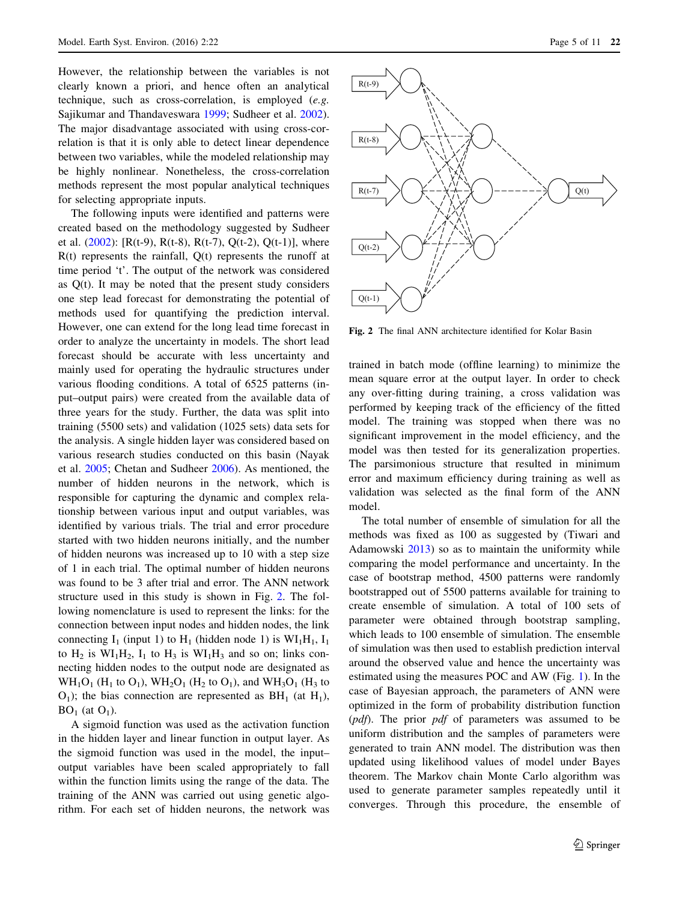However, the relationship between the variables is not clearly known a priori, and hence often an analytical technique, such as cross-correlation, is employed (e.g. Sajikumar and Thandaveswara [1999;](#page-10-0) Sudheer et al. [2002](#page-10-0)). The major disadvantage associated with using cross-correlation is that it is only able to detect linear dependence between two variables, while the modeled relationship may be highly nonlinear. Nonetheless, the cross-correlation methods represent the most popular analytical techniques for selecting appropriate inputs.

The following inputs were identified and patterns were created based on the methodology suggested by Sudheer et al.  $(2002)$  $(2002)$ : [R(t-9), R(t-8), R(t-7), Q(t-2), Q(t-1)], where  $R(t)$  represents the rainfall,  $Q(t)$  represents the runoff at time period 't'. The output of the network was considered as  $Q(t)$ . It may be noted that the present study considers one step lead forecast for demonstrating the potential of methods used for quantifying the prediction interval. However, one can extend for the long lead time forecast in order to analyze the uncertainty in models. The short lead forecast should be accurate with less uncertainty and mainly used for operating the hydraulic structures under various flooding conditions. A total of 6525 patterns (input–output pairs) were created from the available data of three years for the study. Further, the data was split into training (5500 sets) and validation (1025 sets) data sets for the analysis. A single hidden layer was considered based on various research studies conducted on this basin (Nayak et al. [2005](#page-10-0); Chetan and Sudheer [2006\)](#page-9-0). As mentioned, the number of hidden neurons in the network, which is responsible for capturing the dynamic and complex relationship between various input and output variables, was identified by various trials. The trial and error procedure started with two hidden neurons initially, and the number of hidden neurons was increased up to 10 with a step size of 1 in each trial. The optimal number of hidden neurons was found to be 3 after trial and error. The ANN network structure used in this study is shown in Fig. 2. The following nomenclature is used to represent the links: for the connection between input nodes and hidden nodes, the link connecting  $I_1$  (input 1) to  $H_1$  (hidden node 1) is  $WI_1H_1$ ,  $I_1$ to  $H_2$  is  $WI_1H_2$ ,  $I_1$  to  $H_3$  is  $WI_1H_3$  and so on; links connecting hidden nodes to the output node are designated as  $WH<sub>1</sub>O<sub>1</sub>$  (H<sub>1</sub> to O<sub>1</sub>), WH<sub>2</sub>O<sub>1</sub> (H<sub>2</sub> to O<sub>1</sub>), and WH<sub>3</sub>O<sub>1</sub> (H<sub>3</sub> to  $O_1$ ); the bias connection are represented as BH<sub>1</sub> (at H<sub>1</sub>),  $BO<sub>1</sub>$  (at  $O<sub>1</sub>$ ).

A sigmoid function was used as the activation function in the hidden layer and linear function in output layer. As the sigmoid function was used in the model, the input– output variables have been scaled appropriately to fall within the function limits using the range of the data. The training of the ANN was carried out using genetic algorithm. For each set of hidden neurons, the network was



Fig. 2 The final ANN architecture identified for Kolar Basin

trained in batch mode (offline learning) to minimize the mean square error at the output layer. In order to check any over-fitting during training, a cross validation was performed by keeping track of the efficiency of the fitted model. The training was stopped when there was no significant improvement in the model efficiency, and the model was then tested for its generalization properties. The parsimonious structure that resulted in minimum error and maximum efficiency during training as well as validation was selected as the final form of the ANN model.

The total number of ensemble of simulation for all the methods was fixed as 100 as suggested by (Tiwari and Adamowski [2013\)](#page-10-0) so as to maintain the uniformity while comparing the model performance and uncertainty. In the case of bootstrap method, 4500 patterns were randomly bootstrapped out of 5500 patterns available for training to create ensemble of simulation. A total of 100 sets of parameter were obtained through bootstrap sampling, which leads to 100 ensemble of simulation. The ensemble of simulation was then used to establish prediction interval around the observed value and hence the uncertainty was estimated using the measures POC and AW (Fig. [1](#page-2-0)). In the case of Bayesian approach, the parameters of ANN were optimized in the form of probability distribution function (pdf). The prior pdf of parameters was assumed to be uniform distribution and the samples of parameters were generated to train ANN model. The distribution was then updated using likelihood values of model under Bayes theorem. The Markov chain Monte Carlo algorithm was used to generate parameter samples repeatedly until it converges. Through this procedure, the ensemble of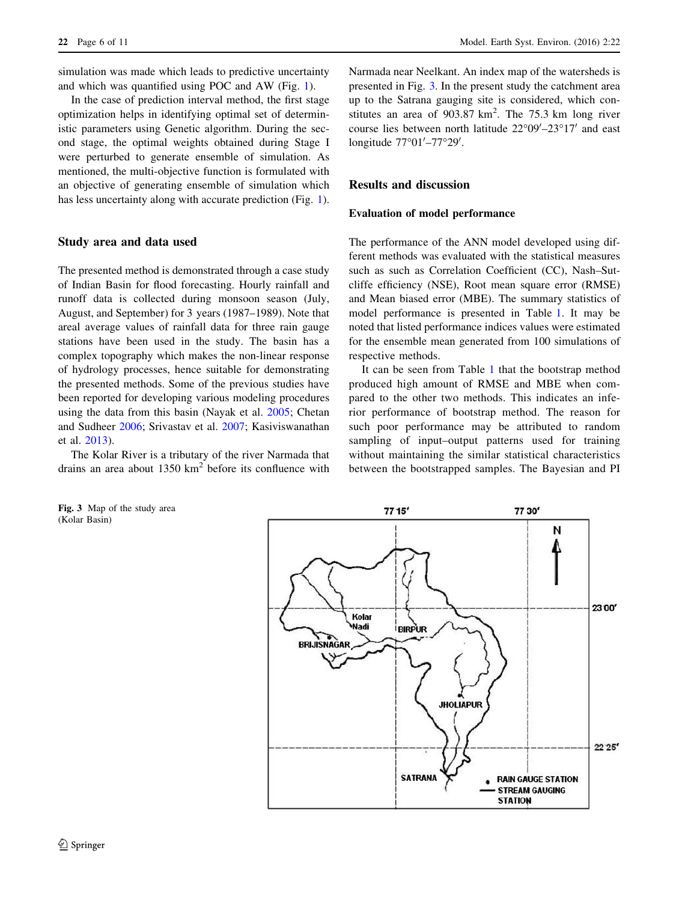simulation was made which leads to predictive uncertainty and which was quantified using POC and AW (Fig. [1](#page-2-0)).

In the case of prediction interval method, the first stage optimization helps in identifying optimal set of deterministic parameters using Genetic algorithm. During the second stage, the optimal weights obtained during Stage I were perturbed to generate ensemble of simulation. As mentioned, the multi-objective function is formulated with an objective of generating ensemble of simulation which has less uncertainty along with accurate prediction (Fig. [1](#page-2-0)).

## Study area and data used

The presented method is demonstrated through a case study of Indian Basin for flood forecasting. Hourly rainfall and runoff data is collected during monsoon season (July, August, and September) for 3 years (1987–1989). Note that areal average values of rainfall data for three rain gauge stations have been used in the study. The basin has a complex topography which makes the non-linear response of hydrology processes, hence suitable for demonstrating the presented methods. Some of the previous studies have been reported for developing various modeling procedures using the data from this basin (Nayak et al. [2005](#page-10-0); Chetan and Sudheer [2006;](#page-9-0) Srivastav et al. [2007;](#page-10-0) Kasiviswanathan et al. [2013\)](#page-10-0).

The Kolar River is a tributary of the river Narmada that drains an area about  $1350 \text{ km}^2$  before its confluence with

Fig. 3 Map of the study area (Kolar Basin)

Narmada near Neelkant. An index map of the watersheds is presented in Fig. 3. In the present study the catchment area up to the Satrana gauging site is considered, which constitutes an area of  $903.87 \text{ km}^2$ . The 75.3 km long river course lies between north latitude  $22^{\circ}09' - 23^{\circ}17'$  and east longitude 77°01'-77°29'.

## Results and discussion

#### Evaluation of model performance

The performance of the ANN model developed using different methods was evaluated with the statistical measures such as such as Correlation Coefficient (CC), Nash–Sutcliffe efficiency (NSE), Root mean square error (RMSE) and Mean biased error (MBE). The summary statistics of model performance is presented in Table [1.](#page-6-0) It may be noted that listed performance indices values were estimated for the ensemble mean generated from 100 simulations of respective methods.

It can be seen from Table [1](#page-6-0) that the bootstrap method produced high amount of RMSE and MBE when compared to the other two methods. This indicates an inferior performance of bootstrap method. The reason for such poor performance may be attributed to random sampling of input–output patterns used for training without maintaining the similar statistical characteristics between the bootstrapped samples. The Bayesian and PI

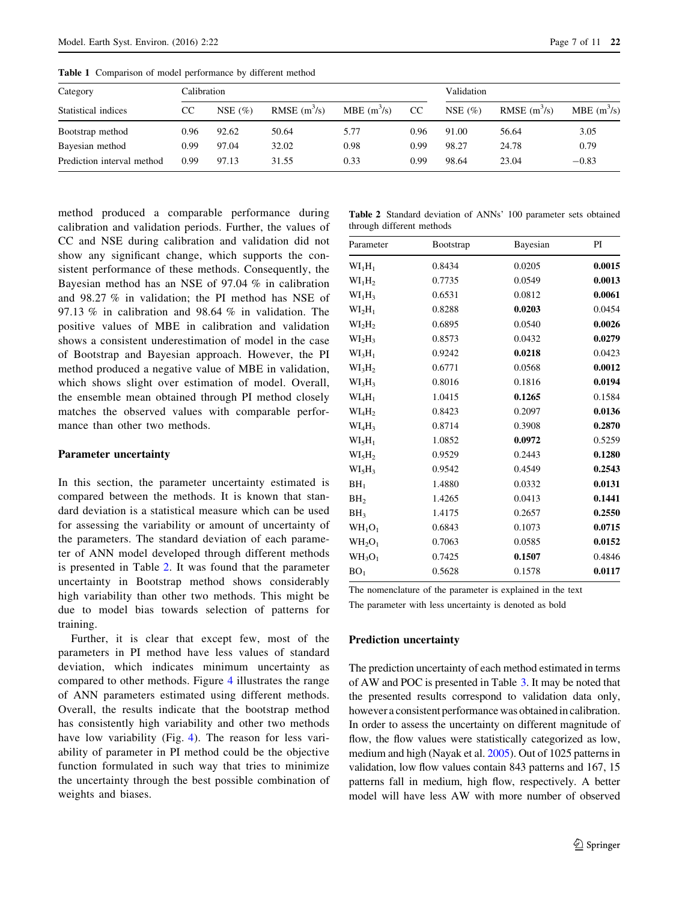| Category                   | Calibration |             |                | Validation    |      |             |                |               |
|----------------------------|-------------|-------------|----------------|---------------|------|-------------|----------------|---------------|
| Statistical indices        | CC          | NSE $(\% )$ | RMSE $(m^3/s)$ | MBE $(m^3/s)$ | CC   | NSE $(\% )$ | RMSE $(m^3/s)$ | MBE $(m^3/s)$ |
| Bootstrap method           | 0.96        | 92.62       | 50.64          | 5.77          | 0.96 | 91.00       | 56.64          | 3.05          |
| Bayesian method            | 0.99        | 97.04       | 32.02          | 0.98          | 0.99 | 98.27       | 24.78          | 0.79          |
| Prediction interval method | 0.99        | 97.13       | 31.55          | 0.33          | 0.99 | 98.64       | 23.04          | $-0.83$       |

<span id="page-6-0"></span>Table 1 Comparison of model performance by different method

method produced a comparable performance during calibration and validation periods. Further, the values of CC and NSE during calibration and validation did not show any significant change, which supports the consistent performance of these methods. Consequently, the Bayesian method has an NSE of 97.04 % in calibration and 98.27 % in validation; the PI method has NSE of 97.13 % in calibration and 98.64 % in validation. The positive values of MBE in calibration and validation shows a consistent underestimation of model in the case of Bootstrap and Bayesian approach. However, the PI method produced a negative value of MBE in validation, which shows slight over estimation of model. Overall, the ensemble mean obtained through PI method closely matches the observed values with comparable performance than other two methods.

# Parameter uncertainty

In this section, the parameter uncertainty estimated is compared between the methods. It is known that standard deviation is a statistical measure which can be used for assessing the variability or amount of uncertainty of the parameters. The standard deviation of each parameter of ANN model developed through different methods is presented in Table 2. It was found that the parameter uncertainty in Bootstrap method shows considerably high variability than other two methods. This might be due to model bias towards selection of patterns for training.

Further, it is clear that except few, most of the parameters in PI method have less values of standard deviation, which indicates minimum uncertainty as compared to other methods. Figure [4](#page-7-0) illustrates the range of ANN parameters estimated using different methods. Overall, the results indicate that the bootstrap method has consistently high variability and other two methods have low variability (Fig. [4](#page-7-0)). The reason for less variability of parameter in PI method could be the objective function formulated in such way that tries to minimize the uncertainty through the best possible combination of weights and biases.

Table 2 Standard deviation of ANNs' 100 parameter sets obtained through different methods

| Parameter                      | Bootstrap | Bayesian | PI     |
|--------------------------------|-----------|----------|--------|
| WI <sub>1</sub> H <sub>1</sub> | 0.8434    | 0.0205   | 0.0015 |
| WI <sub>1</sub> H <sub>2</sub> | 0.7735    | 0.0549   | 0.0013 |
| WI <sub>1</sub> H <sub>3</sub> | 0.6531    | 0.0812   | 0.0061 |
| $WI_2H_1$                      | 0.8288    | 0.0203   | 0.0454 |
| $WI_2H_2$                      | 0.6895    | 0.0540   | 0.0026 |
| $WI_2H_3$                      | 0.8573    | 0.0432   | 0.0279 |
| WI <sub>3</sub> H <sub>1</sub> | 0.9242    | 0.0218   | 0.0423 |
| $WI_3H_2$                      | 0.6771    | 0.0568   | 0.0012 |
| $WI_3H_3$                      | 0.8016    | 0.1816   | 0.0194 |
| $W I_4 H_1$                    | 1.0415    | 0.1265   | 0.1584 |
| $W I_4 H_2$                    | 0.8423    | 0.2097   | 0.0136 |
| $W I_4 H_3$                    | 0.8714    | 0.3908   | 0.2870 |
| WI <sub>5</sub> H <sub>1</sub> | 1.0852    | 0.0972   | 0.5259 |
| WI <sub>5</sub> H <sub>2</sub> | 0.9529    | 0.2443   | 0.1280 |
| $WI_5H_3$                      | 0.9542    | 0.4549   | 0.2543 |
| BH <sub>1</sub>                | 1.4880    | 0.0332   | 0.0131 |
| BH <sub>2</sub>                | 1.4265    | 0.0413   | 0.1441 |
| BH <sub>3</sub>                | 1.4175    | 0.2657   | 0.2550 |
| WH <sub>1</sub> O <sub>1</sub> | 0.6843    | 0.1073   | 0.0715 |
| WH <sub>2</sub> O <sub>1</sub> | 0.7063    | 0.0585   | 0.0152 |
| WH <sub>3</sub> O <sub>1</sub> | 0.7425    | 0.1507   | 0.4846 |
| BO <sub>1</sub>                | 0.5628    | 0.1578   | 0.0117 |

The nomenclature of the parameter is explained in the text The parameter with less uncertainty is denoted as bold

#### Prediction uncertainty

The prediction uncertainty of each method estimated in terms of AW and POC is presented in Table [3.](#page-7-0) It may be noted that the presented results correspond to validation data only, however a consistent performance was obtained in calibration. In order to assess the uncertainty on different magnitude of flow, the flow values were statistically categorized as low, medium and high (Nayak et al. [2005](#page-10-0)). Out of 1025 patterns in validation, low flow values contain 843 patterns and 167, 15 patterns fall in medium, high flow, respectively. A better model will have less AW with more number of observed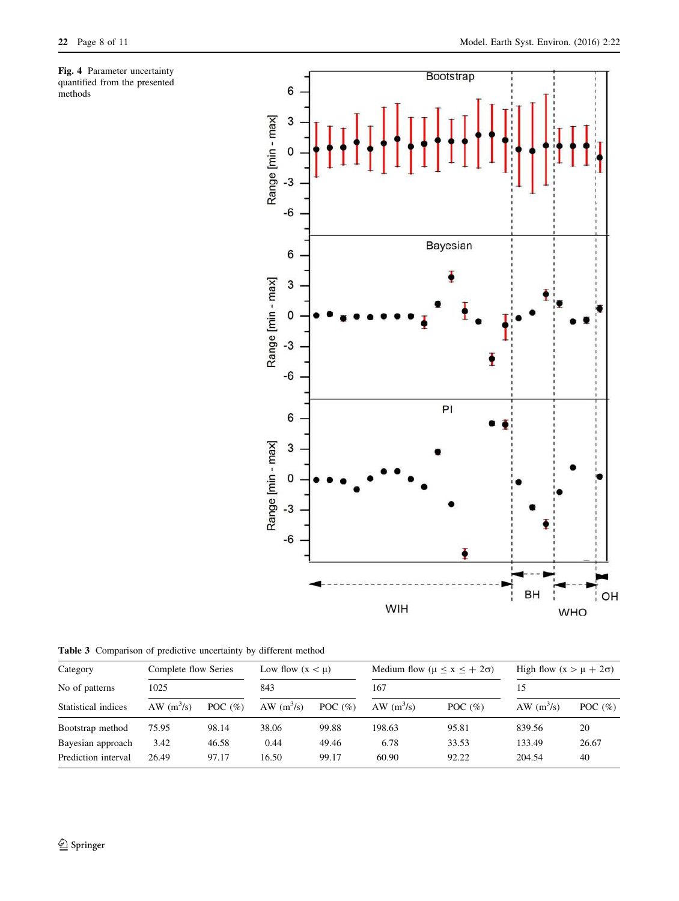<span id="page-7-0"></span>Fig. 4 Parameter uncertainty quantified from the presented methods



Table 3 Comparison of predictive uncertainty by different method

| Category               | Complete flow Series |             | Low flow $(x < \mu)$ |             |              | Medium flow ( $\mu \le x \le +2\sigma$ ) | High flow $(x > \mu + 2\sigma)$ |            |
|------------------------|----------------------|-------------|----------------------|-------------|--------------|------------------------------------------|---------------------------------|------------|
| 1025<br>No of patterns |                      | 843         |                      | 167         |              | 15                                       |                                 |            |
| Statistical indices    | AW $(m^3/s)$         | POC $(\% )$ | AW $(m^3/s)$         | POC $(\% )$ | AW $(m^3/s)$ | POC $(\% )$                              | AW $(m^3/s)$                    | POC $(\%)$ |
| Bootstrap method       | 75.95                | 98.14       | 38.06                | 99.88       | 198.63       | 95.81                                    | 839.56                          | 20         |
| Bayesian approach      | 3.42                 | 46.58       | 0.44                 | 49.46       | 6.78         | 33.53                                    | 133.49                          | 26.67      |
| Prediction interval    | 26.49                | 97.17       | 16.50                | 99.17       | 60.90        | 92.22                                    | 204.54                          | 40         |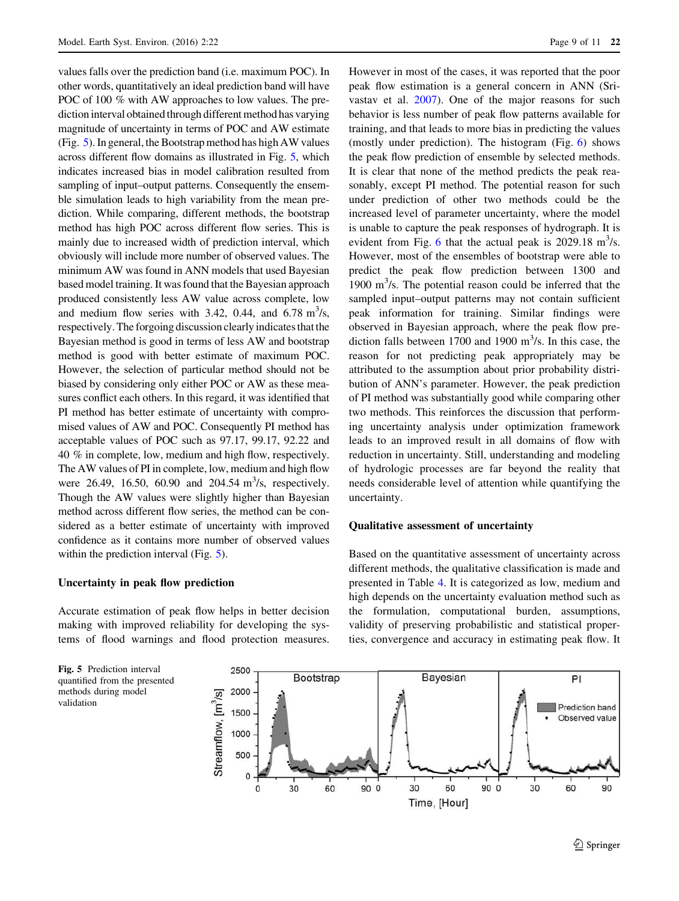values falls over the prediction band (i.e. maximum POC). In other words, quantitatively an ideal prediction band will have POC of 100 % with AW approaches to low values. The prediction interval obtained through different method has varying magnitude of uncertainty in terms of POC and AW estimate (Fig. 5). In general, the Bootstrap method has high AW values across different flow domains as illustrated in Fig. 5, which indicates increased bias in model calibration resulted from sampling of input–output patterns. Consequently the ensemble simulation leads to high variability from the mean prediction. While comparing, different methods, the bootstrap method has high POC across different flow series. This is mainly due to increased width of prediction interval, which obviously will include more number of observed values. The minimum AW was found in ANN models that used Bayesian based model training. It was found that the Bayesian approach produced consistently less AW value across complete, low and medium flow series with 3.42, 0.44, and  $6.78 \text{ m}^3\text{/s}$ , respectively. The forgoing discussion clearly indicates that the Bayesian method is good in terms of less AW and bootstrap method is good with better estimate of maximum POC. However, the selection of particular method should not be biased by considering only either POC or AW as these measures conflict each others. In this regard, it was identified that PI method has better estimate of uncertainty with compromised values of AW and POC. Consequently PI method has acceptable values of POC such as 97.17, 99.17, 92.22 and 40 % in complete, low, medium and high flow, respectively. The AW values of PI in complete, low, medium and high flow were 26.49, 16.50, 60.90 and 204.54 m<sup>3</sup>/s, respectively. Though the AW values were slightly higher than Bayesian method across different flow series, the method can be considered as a better estimate of uncertainty with improved confidence as it contains more number of observed values within the prediction interval (Fig. 5).

#### Uncertainty in peak flow prediction

Accurate estimation of peak flow helps in better decision making with improved reliability for developing the systems of flood warnings and flood protection measures.

However in most of the cases, it was reported that the poor peak flow estimation is a general concern in ANN (Srivastav et al. [2007](#page-10-0)). One of the major reasons for such behavior is less number of peak flow patterns available for training, and that leads to more bias in predicting the values (mostly under prediction). The histogram (Fig. [6\)](#page-9-0) shows the peak flow prediction of ensemble by selected methods. It is clear that none of the method predicts the peak reasonably, except PI method. The potential reason for such under prediction of other two methods could be the increased level of parameter uncertainty, where the model is unable to capture the peak responses of hydrograph. It is evident from Fig. [6](#page-9-0) that the actual peak is  $2029.18 \text{ m}^3$ /s. However, most of the ensembles of bootstrap were able to predict the peak flow prediction between 1300 and 1900  $\text{m}^3$ /s. The potential reason could be inferred that the sampled input–output patterns may not contain sufficient peak information for training. Similar findings were observed in Bayesian approach, where the peak flow prediction falls between 1700 and 1900  $m^3$ /s. In this case, the reason for not predicting peak appropriately may be attributed to the assumption about prior probability distribution of ANN's parameter. However, the peak prediction of PI method was substantially good while comparing other two methods. This reinforces the discussion that performing uncertainty analysis under optimization framework leads to an improved result in all domains of flow with reduction in uncertainty. Still, understanding and modeling of hydrologic processes are far beyond the reality that needs considerable level of attention while quantifying the uncertainty.

#### Qualitative assessment of uncertainty

Based on the quantitative assessment of uncertainty across different methods, the qualitative classification is made and presented in Table [4](#page-9-0). It is categorized as low, medium and high depends on the uncertainty evaluation method such as the formulation, computational burden, assumptions, validity of preserving probabilistic and statistical properties, convergence and accuracy in estimating peak flow. It



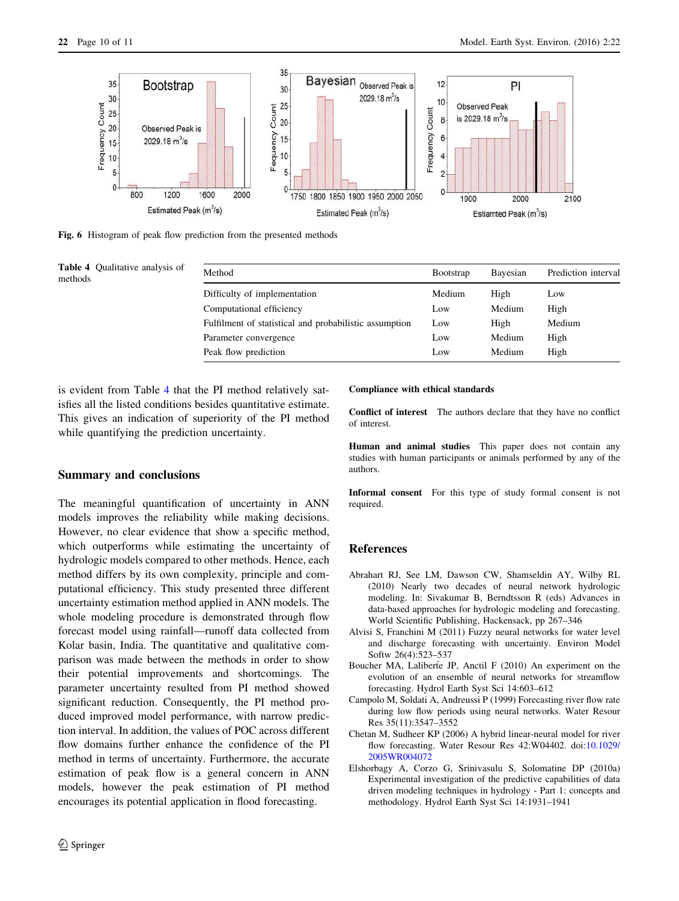<span id="page-9-0"></span>

Fig. 6 Histogram of peak flow prediction from the presented methods

Table 4 Qualitative analysis of

| <b>Table 4</b> Qualitative analysis of<br>methods | Method                                                 | <b>Bootstrap</b> | Bayesian | Prediction interval |  |
|---------------------------------------------------|--------------------------------------------------------|------------------|----------|---------------------|--|
|                                                   | Difficulty of implementation                           | Medium           | High     | Low                 |  |
|                                                   | Computational efficiency                               | Low              | Medium   | High                |  |
|                                                   | Fulfilment of statistical and probabilistic assumption | Low              | High     | Medium              |  |
|                                                   | Parameter convergence                                  | Low              | Medium   | High                |  |
|                                                   | Peak flow prediction                                   | Low              | Medium   | High                |  |

is evident from Table 4 that the PI method relatively satisfies all the listed conditions besides quantitative estimate. This gives an indication of superiority of the PI method while quantifying the prediction uncertainty.

# Summary and conclusions

The meaningful quantification of uncertainty in ANN models improves the reliability while making decisions. However, no clear evidence that show a specific method, which outperforms while estimating the uncertainty of hydrologic models compared to other methods. Hence, each method differs by its own complexity, principle and computational efficiency. This study presented three different uncertainty estimation method applied in ANN models. The whole modeling procedure is demonstrated through flow forecast model using rainfall—runoff data collected from Kolar basin, India. The quantitative and qualitative comparison was made between the methods in order to show their potential improvements and shortcomings. The parameter uncertainty resulted from PI method showed significant reduction. Consequently, the PI method produced improved model performance, with narrow prediction interval. In addition, the values of POC across different flow domains further enhance the confidence of the PI method in terms of uncertainty. Furthermore, the accurate estimation of peak flow is a general concern in ANN models, however the peak estimation of PI method encourages its potential application in flood forecasting.

#### Compliance with ethical standards

Conflict of interest The authors declare that they have no conflict of interest.

Human and animal studies This paper does not contain any studies with human participants or animals performed by any of the authors.

Informal consent For this type of study formal consent is not required.

# References

- Abrahart RJ, See LM, Dawson CW, Shamseldin AY, Wilby RL (2010) Nearly two decades of neural network hydrologic modeling. In: Sivakumar B, Berndtsson R (eds) Advances in data-based approaches for hydrologic modeling and forecasting. World Scientific Publishing, Hackensack, pp 267–346
- Alvisi S, Franchini M (2011) Fuzzy neural networks for water level and discharge forecasting with uncertainty. Environ Model Softw 26(4):523–537
- Boucher MA, Laliberte JP, Anctil F (2010) An experiment on the evolution of an ensemble of neural networks for streamflow forecasting. Hydrol Earth Syst Sci 14:603–612
- Campolo M, Soldati A, Andreussi P (1999) Forecasting river flow rate during low flow periods using neural networks. Water Resour Res 35(11):3547–3552
- Chetan M, Sudheer KP (2006) A hybrid linear-neural model for river flow forecasting. Water Resour Res 42:W04402. doi[:10.1029/](http://dx.doi.org/10.1029/2005WR004072) [2005WR004072](http://dx.doi.org/10.1029/2005WR004072)
- Elshorbagy A, Corzo G, Srinivasulu S, Solomatine DP (2010a) Experimental investigation of the predictive capabilities of data driven modeling techniques in hydrology - Part 1: concepts and methodology. Hydrol Earth Syst Sci 14:1931–1941